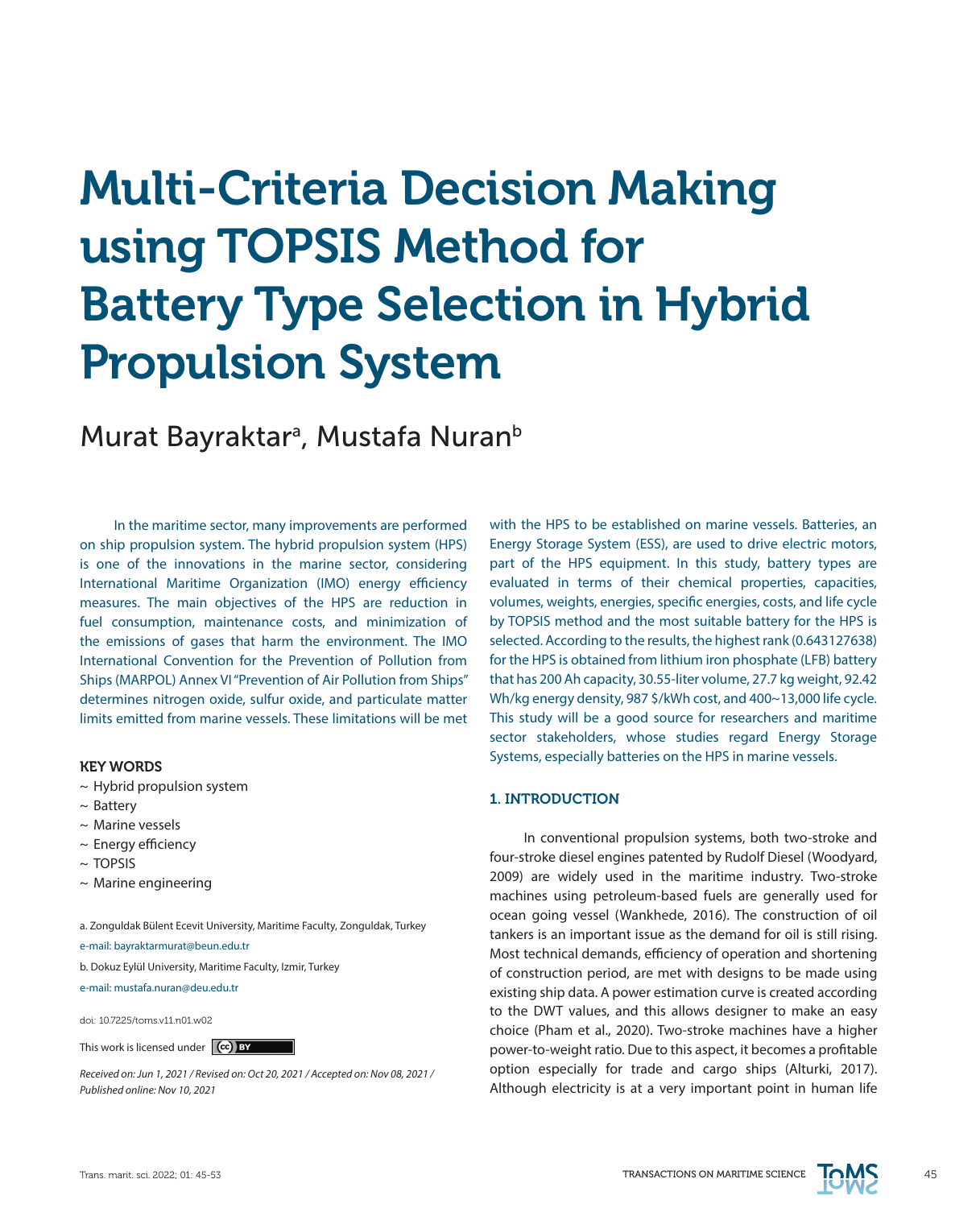# Multi-Criteria Decision Making using TOPSIS Method for Battery Type Selection in Hybrid Propulsion System

# Murat Bayraktar<sup>a</sup>, Mustafa Nuran<sup>b</sup>

In the maritime sector, many improvements are performed on ship propulsion system. The hybrid propulsion system (HPS) is one of the innovations in the marine sector, considering International Maritime Organization (IMO) energy efficiency measures. The main objectives of the HPS are reduction in fuel consumption, maintenance costs, and minimization of the emissions of gases that harm the environment. The IMO International Convention for the Prevention of Pollution from Ships (MARPOL) Annex VI "Prevention of Air Pollution from Ships" determines nitrogen oxide, sulfur oxide, and particulate matter limits emitted from marine vessels. These limitations will be met

#### KEY WORDS

- $\sim$  Hybrid propulsion system
- ~ Battery
- ~ Marine vessels
- ~ Energy efficiency
- $~\sim$  TOPSIS
- $\sim$  Marine engineering

a. Zonguldak Bülent Ecevit University, Maritime Faculty, Zonguldak, Turkey

e-mail: bayraktarmurat@beun.edu.tr

b. Dokuz Eylül University, Maritime Faculty, Izmir, Turkey

e-mail: mustafa.nuran@deu.edu.tr

doi: 10.7225/toms.v11.n01.w02

This work is licensed under (cc) BY

*Received on: Jun 1, 2021 / Revised on: Oct 20, 2021 / Accepted on: Nov 08, 2021 / Published online: Nov 10, 2021*

with the HPS to be established on marine vessels. Batteries, an Energy Storage System (ESS), are used to drive electric motors, part of the HPS equipment. In this study, battery types are evaluated in terms of their chemical properties, capacities, volumes, weights, energies, specific energies, costs, and life cycle by TOPSIS method and the most suitable battery for the HPS is selected. According to the results, the highest rank (0.643127638) for the HPS is obtained from lithium iron phosphate (LFB) battery that has 200 Ah capacity, 30.55-liter volume, 27.7 kg weight, 92.42 Wh/kg energy density, 987 \$/kWh cost, and 400~13,000 life cycle. This study will be a good source for researchers and maritime sector stakeholders, whose studies regard Energy Storage Systems, especially batteries on the HPS in marine vessels.

#### 1. INTRODUCTION

In conventional propulsion systems, both two-stroke and four-stroke diesel engines patented by Rudolf Diesel (Woodyard, 2009) are widely used in the maritime industry. Two-stroke machines using petroleum-based fuels are generally used for ocean going vessel (Wankhede, 2016). The construction of oil tankers is an important issue as the demand for oil is still rising. Most technical demands, efficiency of operation and shortening of construction period, are met with designs to be made using existing ship data. A power estimation curve is created according to the DWT values, and this allows designer to make an easy choice (Pham et al., 2020). Two-stroke machines have a higher power-to-weight ratio. Due to this aspect, it becomes a profitable option especially for trade and cargo ships (Alturki, 2017). Although electricity is at a very important point in human life

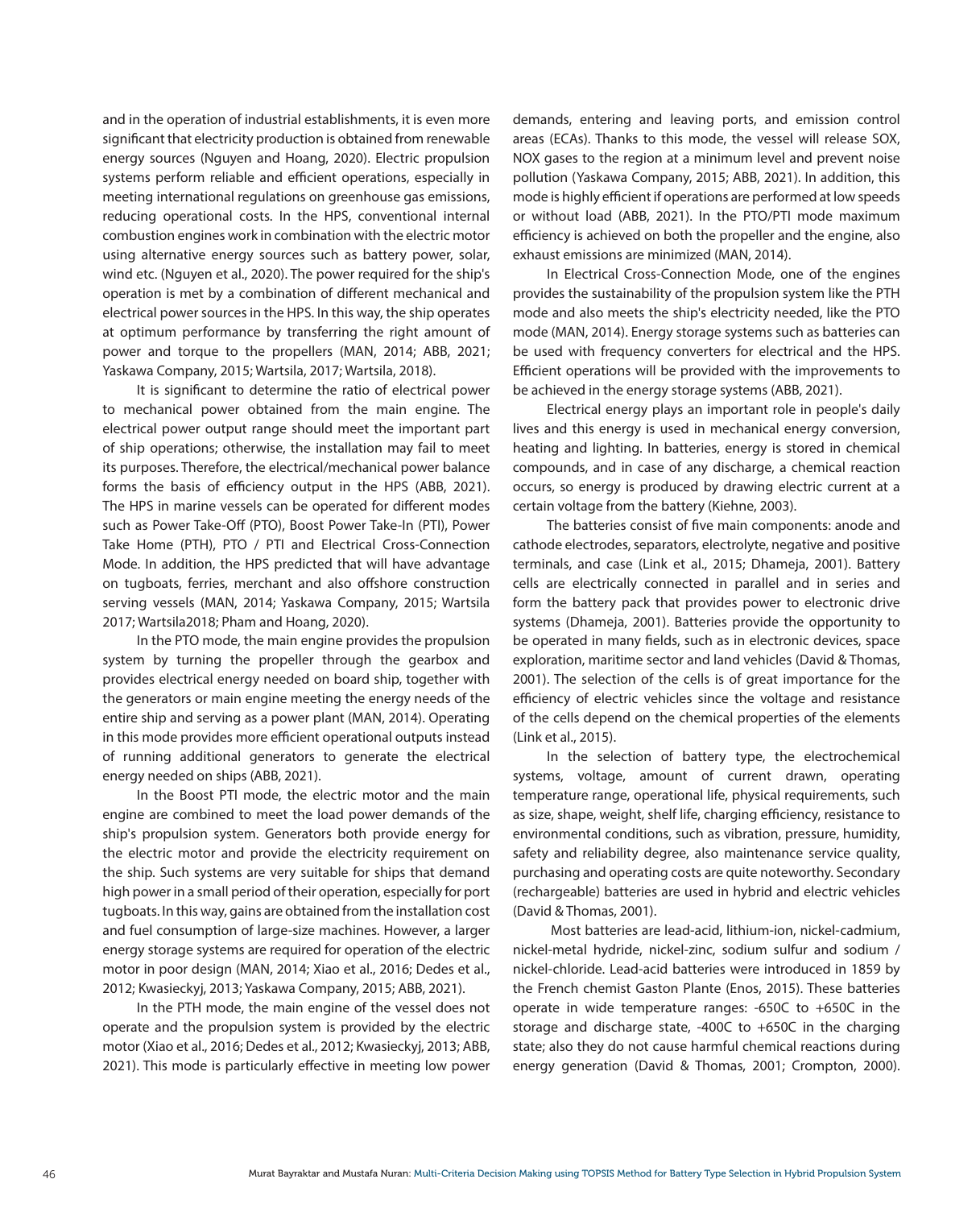and in the operation of industrial establishments, it is even more significant that electricity production is obtained from renewable energy sources (Nguyen and Hoang, 2020). Electric propulsion systems perform reliable and efficient operations, especially in meeting international regulations on greenhouse gas emissions, reducing operational costs. In the HPS, conventional internal combustion engines work in combination with the electric motor using alternative energy sources such as battery power, solar, wind etc. (Nguyen et al., 2020). The power required for the ship's operation is met by a combination of different mechanical and electrical power sources in the HPS. In this way, the ship operates at optimum performance by transferring the right amount of power and torque to the propellers (MAN, 2014; ABB, 2021; Yaskawa Company, 2015; Wartsila, 2017; Wartsila, 2018).

It is significant to determine the ratio of electrical power to mechanical power obtained from the main engine. The electrical power output range should meet the important part of ship operations; otherwise, the installation may fail to meet its purposes. Therefore, the electrical/mechanical power balance forms the basis of efficiency output in the HPS (ABB, 2021). The HPS in marine vessels can be operated for different modes such as Power Take-Off (PTO), Boost Power Take-In (PTI), Power Take Home (PTH), PTO / PTI and Electrical Cross-Connection Mode. In addition, the HPS predicted that will have advantage on tugboats, ferries, merchant and also offshore construction serving vessels (MAN, 2014; Yaskawa Company, 2015; Wartsila 2017; Wartsila2018; Pham and Hoang, 2020).

In the PTO mode, the main engine provides the propulsion system by turning the propeller through the gearbox and provides electrical energy needed on board ship, together with the generators or main engine meeting the energy needs of the entire ship and serving as a power plant (MAN, 2014). Operating in this mode provides more efficient operational outputs instead of running additional generators to generate the electrical energy needed on ships (ABB, 2021).

In the Boost PTI mode, the electric motor and the main engine are combined to meet the load power demands of the ship's propulsion system. Generators both provide energy for the electric motor and provide the electricity requirement on the ship. Such systems are very suitable for ships that demand high power in a small period of their operation, especially for port tugboats. In this way, gains are obtained from the installation cost and fuel consumption of large-size machines. However, a larger energy storage systems are required for operation of the electric motor in poor design (MAN, 2014; Xiao et al., 2016; Dedes et al., 2012; Kwasieckyj, 2013; Yaskawa Company, 2015; ABB, 2021).

In the PTH mode, the main engine of the vessel does not operate and the propulsion system is provided by the electric motor (Xiao et al., 2016; Dedes et al., 2012; Kwasieckyj, 2013; ABB, 2021). This mode is particularly effective in meeting low power demands, entering and leaving ports, and emission control areas (ECAs). Thanks to this mode, the vessel will release SOX, NOX gases to the region at a minimum level and prevent noise pollution (Yaskawa Company, 2015; ABB, 2021). In addition, this mode is highly efficient if operations are performed at low speeds or without load (ABB, 2021). In the PTO/PTI mode maximum efficiency is achieved on both the propeller and the engine, also exhaust emissions are minimized (MAN, 2014).

In Electrical Cross-Connection Mode, one of the engines provides the sustainability of the propulsion system like the PTH mode and also meets the ship's electricity needed, like the PTO mode (MAN, 2014). Energy storage systems such as batteries can be used with frequency converters for electrical and the HPS. Efficient operations will be provided with the improvements to be achieved in the energy storage systems (ABB, 2021).

Electrical energy plays an important role in people's daily lives and this energy is used in mechanical energy conversion, heating and lighting. In batteries, energy is stored in chemical compounds, and in case of any discharge, a chemical reaction occurs, so energy is produced by drawing electric current at a certain voltage from the battery (Kiehne, 2003).

The batteries consist of five main components: anode and cathode electrodes, separators, electrolyte, negative and positive terminals, and case (Link et al., 2015; Dhameja, 2001). Battery cells are electrically connected in parallel and in series and form the battery pack that provides power to electronic drive systems (Dhameja, 2001). Batteries provide the opportunity to be operated in many fields, such as in electronic devices, space exploration, maritime sector and land vehicles (David & Thomas, 2001). The selection of the cells is of great importance for the efficiency of electric vehicles since the voltage and resistance of the cells depend on the chemical properties of the elements (Link et al., 2015).

In the selection of battery type, the electrochemical systems, voltage, amount of current drawn, operating temperature range, operational life, physical requirements, such as size, shape, weight, shelf life, charging efficiency, resistance to environmental conditions, such as vibration, pressure, humidity, safety and reliability degree, also maintenance service quality, purchasing and operating costs are quite noteworthy. Secondary (rechargeable) batteries are used in hybrid and electric vehicles (David & Thomas, 2001).

 Most batteries are lead-acid, lithium-ion, nickel-cadmium, nickel-metal hydride, nickel-zinc, sodium sulfur and sodium / nickel-chloride. Lead-acid batteries were introduced in 1859 by the French chemist Gaston Plante (Enos, 2015). These batteries operate in wide temperature ranges: -650C to +650C in the storage and discharge state, -400C to +650C in the charging state; also they do not cause harmful chemical reactions during energy generation (David & Thomas, 2001; Crompton, 2000).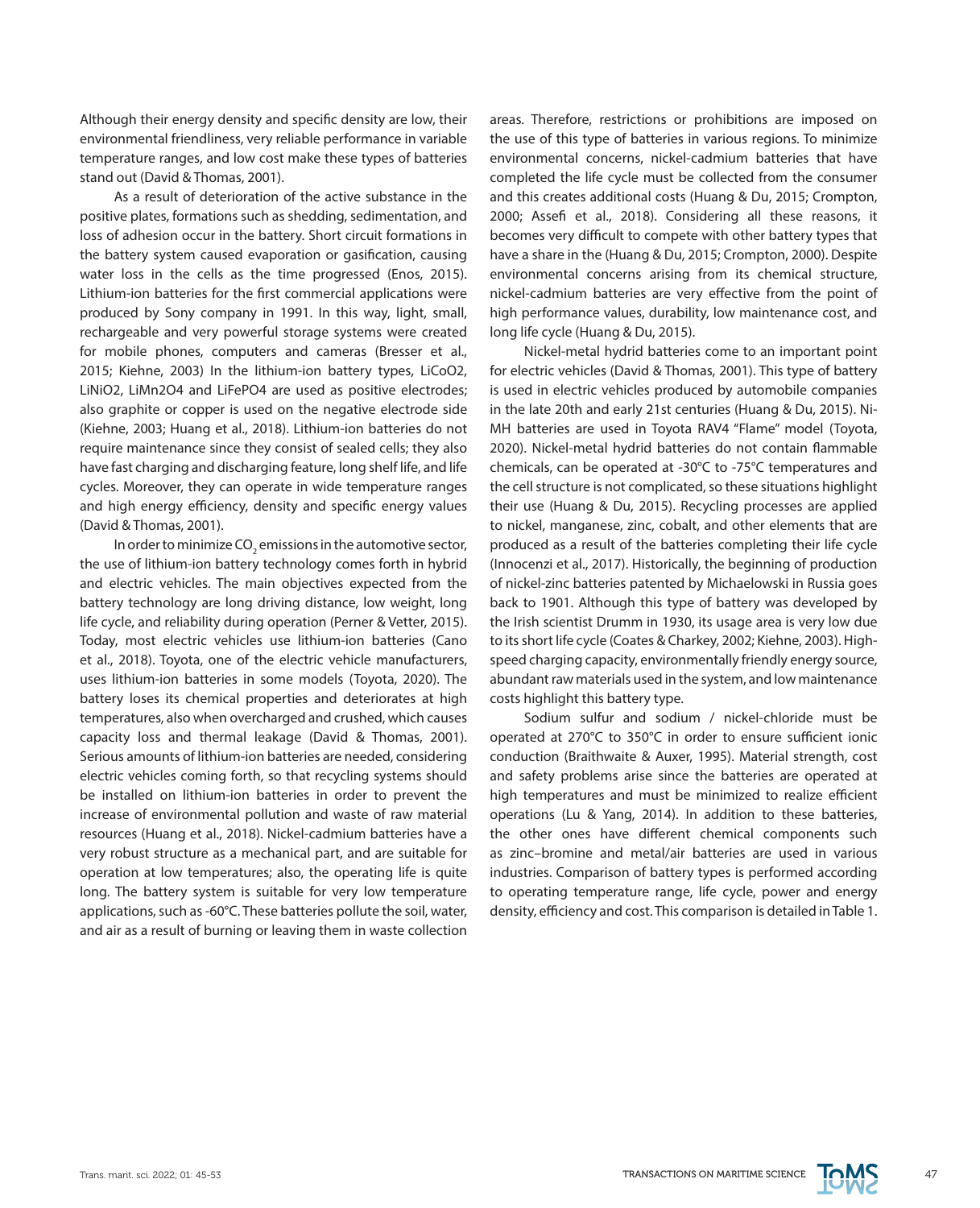Although their energy density and specific density are low, their environmental friendliness, very reliable performance in variable temperature ranges, and low cost make these types of batteries stand out (David & Thomas, 2001).

As a result of deterioration of the active substance in the positive plates, formations such as shedding, sedimentation, and loss of adhesion occur in the battery. Short circuit formations in the battery system caused evaporation or gasification, causing water loss in the cells as the time progressed (Enos, 2015). Lithium-ion batteries for the first commercial applications were produced by Sony company in 1991. In this way, light, small, rechargeable and very powerful storage systems were created for mobile phones, computers and cameras (Bresser et al., 2015; Kiehne, 2003) In the lithium-ion battery types, LiCoO2, LiNiO2, LiMn2O4 and LiFePO4 are used as positive electrodes; also graphite or copper is used on the negative electrode side (Kiehne, 2003; Huang et al., 2018). Lithium-ion batteries do not require maintenance since they consist of sealed cells; they also have fast charging and discharging feature, long shelf life, and life cycles. Moreover, they can operate in wide temperature ranges and high energy efficiency, density and specific energy values (David & Thomas, 2001).

In order to minimize CO $_2$  emissions in the automotive sector, the use of lithium-ion battery technology comes forth in hybrid and electric vehicles. The main objectives expected from the battery technology are long driving distance, low weight, long life cycle, and reliability during operation (Perner & Vetter, 2015). Today, most electric vehicles use lithium-ion batteries (Cano et al., 2018). Toyota, one of the electric vehicle manufacturers, uses lithium-ion batteries in some models (Toyota, 2020). The battery loses its chemical properties and deteriorates at high temperatures, also when overcharged and crushed, which causes capacity loss and thermal leakage (David & Thomas, 2001). Serious amounts of lithium-ion batteries are needed, considering electric vehicles coming forth, so that recycling systems should be installed on lithium-ion batteries in order to prevent the increase of environmental pollution and waste of raw material resources (Huang et al., 2018). Nickel-cadmium batteries have a very robust structure as a mechanical part, and are suitable for operation at low temperatures; also, the operating life is quite long. The battery system is suitable for very low temperature applications, such as -60°C. These batteries pollute the soil, water, and air as a result of burning or leaving them in waste collection

areas. Therefore, restrictions or prohibitions are imposed on the use of this type of batteries in various regions. To minimize environmental concerns, nickel-cadmium batteries that have completed the life cycle must be collected from the consumer and this creates additional costs (Huang & Du, 2015; Crompton, 2000; Assefi et al., 2018). Considering all these reasons, it becomes very difficult to compete with other battery types that have a share in the (Huang & Du, 2015; Crompton, 2000). Despite environmental concerns arising from its chemical structure, nickel-cadmium batteries are very effective from the point of high performance values, durability, low maintenance cost, and long life cycle (Huang & Du, 2015).

Nickel-metal hydrid batteries come to an important point for electric vehicles (David & Thomas, 2001). This type of battery is used in electric vehicles produced by automobile companies in the late 20th and early 21st centuries (Huang & Du, 2015). Ni-MH batteries are used in Toyota RAV4 "Flame" model (Toyota, 2020). Nickel-metal hydrid batteries do not contain flammable chemicals, can be operated at -30°C to -75°C temperatures and the cell structure is not complicated, so these situations highlight their use (Huang & Du, 2015). Recycling processes are applied to nickel, manganese, zinc, cobalt, and other elements that are produced as a result of the batteries completing their life cycle (Innocenzi et al., 2017). Historically, the beginning of production of nickel-zinc batteries patented by Michaelowski in Russia goes back to 1901. Although this type of battery was developed by the Irish scientist Drumm in 1930, its usage area is very low due to its short life cycle (Coates & Charkey, 2002; Kiehne, 2003). Highspeed charging capacity, environmentally friendly energy source, abundant raw materials used in the system, and low maintenance costs highlight this battery type.

Sodium sulfur and sodium / nickel-chloride must be operated at 270°C to 350°C in order to ensure sufficient ionic conduction (Braithwaite & Auxer, 1995). Material strength, cost and safety problems arise since the batteries are operated at high temperatures and must be minimized to realize efficient operations (Lu & Yang, 2014). In addition to these batteries, the other ones have different chemical components such as zinc–bromine and metal/air batteries are used in various industries. Comparison of battery types is performed according to operating temperature range, life cycle, power and energy density, efficiency and cost. This comparison is detailed in Table 1.

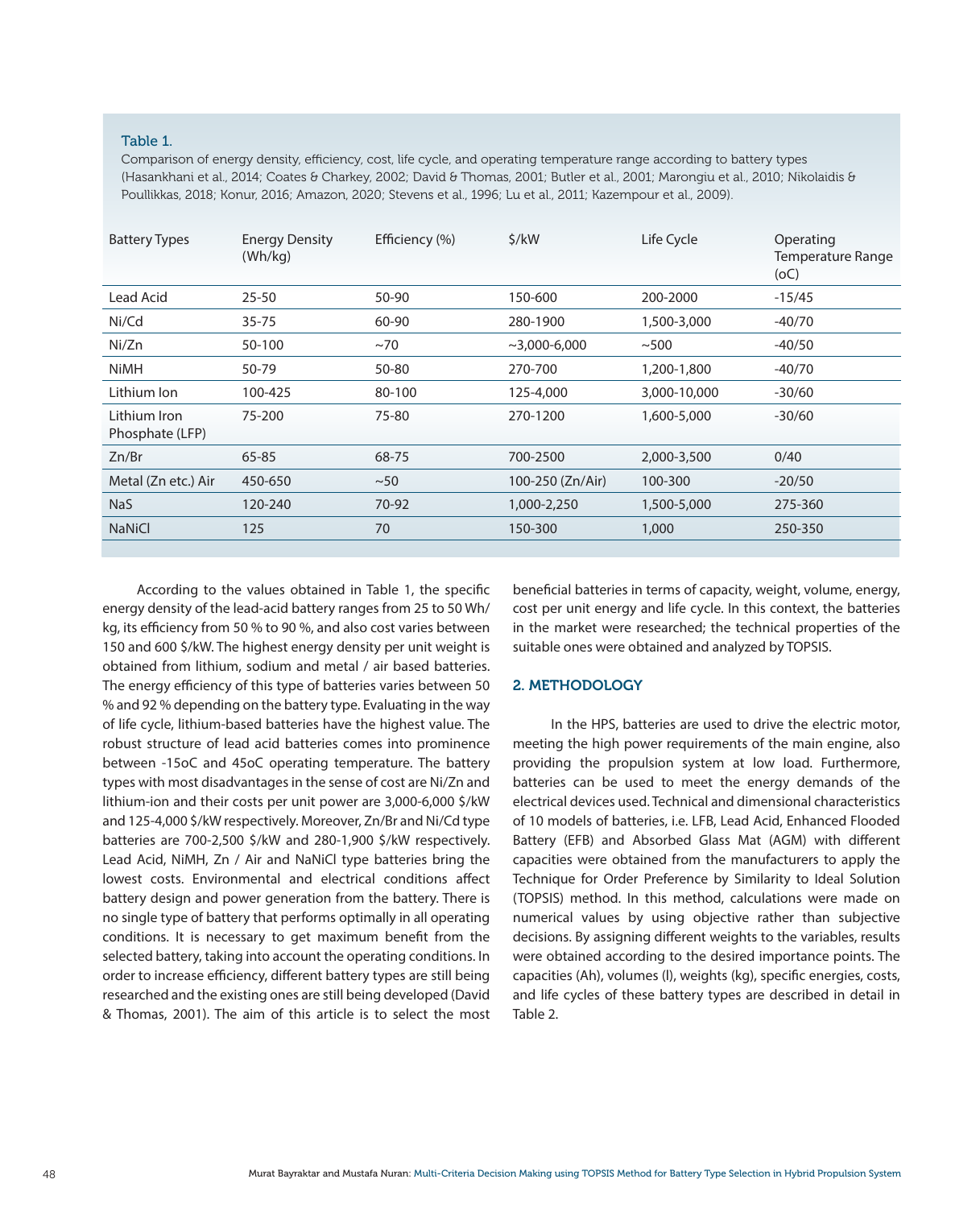#### Table 1.

Comparison of energy density, efficiency, cost, life cycle, and operating temperature range according to battery types (Hasankhani et al., 2014; Coates & Charkey, 2002; David & Thomas, 2001; Butler et al., 2001; Marongiu et al., 2010; Nikolaidis & Poullikkas, 2018; Konur, 2016; Amazon, 2020; Stevens et al., 1996; Lu et al., 2011; Kazempour et al., 2009).

| <b>Battery Types</b>            | <b>Energy Density</b><br>(Wh/kg) | Efficiency (%) | 5/kW             | Life Cycle   | Operating<br>Temperature Range<br>(OC) |
|---------------------------------|----------------------------------|----------------|------------------|--------------|----------------------------------------|
| Lead Acid                       | $25 - 50$                        | 50-90          | 150-600          | 200-2000     | $-15/45$                               |
| Ni/Cd                           | 35-75                            | 60-90          | 280-1900         | 1,500-3,000  | $-40/70$                               |
| Ni/Zn                           | 50-100                           | ~1             | $~1000 - 6.000$  | ~100         | $-40/50$                               |
| <b>NiMH</b>                     | 50-79                            | 50-80          | 270-700          | 1,200-1,800  | $-40/70$                               |
| Lithium Ion                     | 100-425                          | 80-100         | 125-4,000        | 3,000-10,000 | $-30/60$                               |
| Lithium Iron<br>Phosphate (LFP) | 75-200                           | 75-80          | 270-1200         | 1,600-5,000  | $-30/60$                               |
| Zn/Br                           | 65-85                            | 68-75          | 700-2500         | 2,000-3,500  | 0/40                                   |
| Metal (Zn etc.) Air             | 450-650                          | $~1$ – 50      | 100-250 (Zn/Air) | 100-300      | $-20/50$                               |
| <b>NaS</b>                      | 120-240                          | 70-92          | 1,000-2,250      | 1,500-5,000  | 275-360                                |
| <b>NaNiCl</b>                   | 125                              | 70             | 150-300          | 1,000        | 250-350                                |
|                                 |                                  |                |                  |              |                                        |

According to the values obtained in Table 1, the specific energy density of the lead-acid battery ranges from 25 to 50 Wh/ kg, its efficiency from 50 % to 90 %, and also cost varies between 150 and 600 \$/kW. The highest energy density per unit weight is obtained from lithium, sodium and metal / air based batteries. The energy efficiency of this type of batteries varies between 50 % and 92 % depending on the battery type. Evaluating in the way of life cycle, lithium-based batteries have the highest value. The robust structure of lead acid batteries comes into prominence between -15oC and 45oC operating temperature. The battery types with most disadvantages in the sense of cost are Ni/Zn and lithium-ion and their costs per unit power are 3,000-6,000 \$/kW and 125-4,000 \$/kW respectively. Moreover, Zn/Br and Ni/Cd type batteries are 700-2,500 \$/kW and 280-1,900 \$/kW respectively. Lead Acid, NiMH, Zn / Air and NaNiCl type batteries bring the lowest costs. Environmental and electrical conditions affect battery design and power generation from the battery. There is no single type of battery that performs optimally in all operating conditions. It is necessary to get maximum benefit from the selected battery, taking into account the operating conditions. In order to increase efficiency, different battery types are still being researched and the existing ones are still being developed (David & Thomas, 2001). The aim of this article is to select the most beneficial batteries in terms of capacity, weight, volume, energy, cost per unit energy and life cycle. In this context, the batteries in the market were researched; the technical properties of the suitable ones were obtained and analyzed by TOPSIS.

#### 2. METHODOLOGY

 In the HPS, batteries are used to drive the electric motor, meeting the high power requirements of the main engine, also providing the propulsion system at low load. Furthermore, batteries can be used to meet the energy demands of the electrical devices used. Technical and dimensional characteristics of 10 models of batteries, i.e. LFB, Lead Acid, Enhanced Flooded Battery (EFB) and Absorbed Glass Mat (AGM) with different capacities were obtained from the manufacturers to apply the Technique for Order Preference by Similarity to Ideal Solution (TOPSIS) method. In this method, calculations were made on numerical values by using objective rather than subjective decisions. By assigning different weights to the variables, results were obtained according to the desired importance points. The capacities (Ah), volumes (l), weights (kg), specific energies, costs, and life cycles of these battery types are described in detail in Table 2.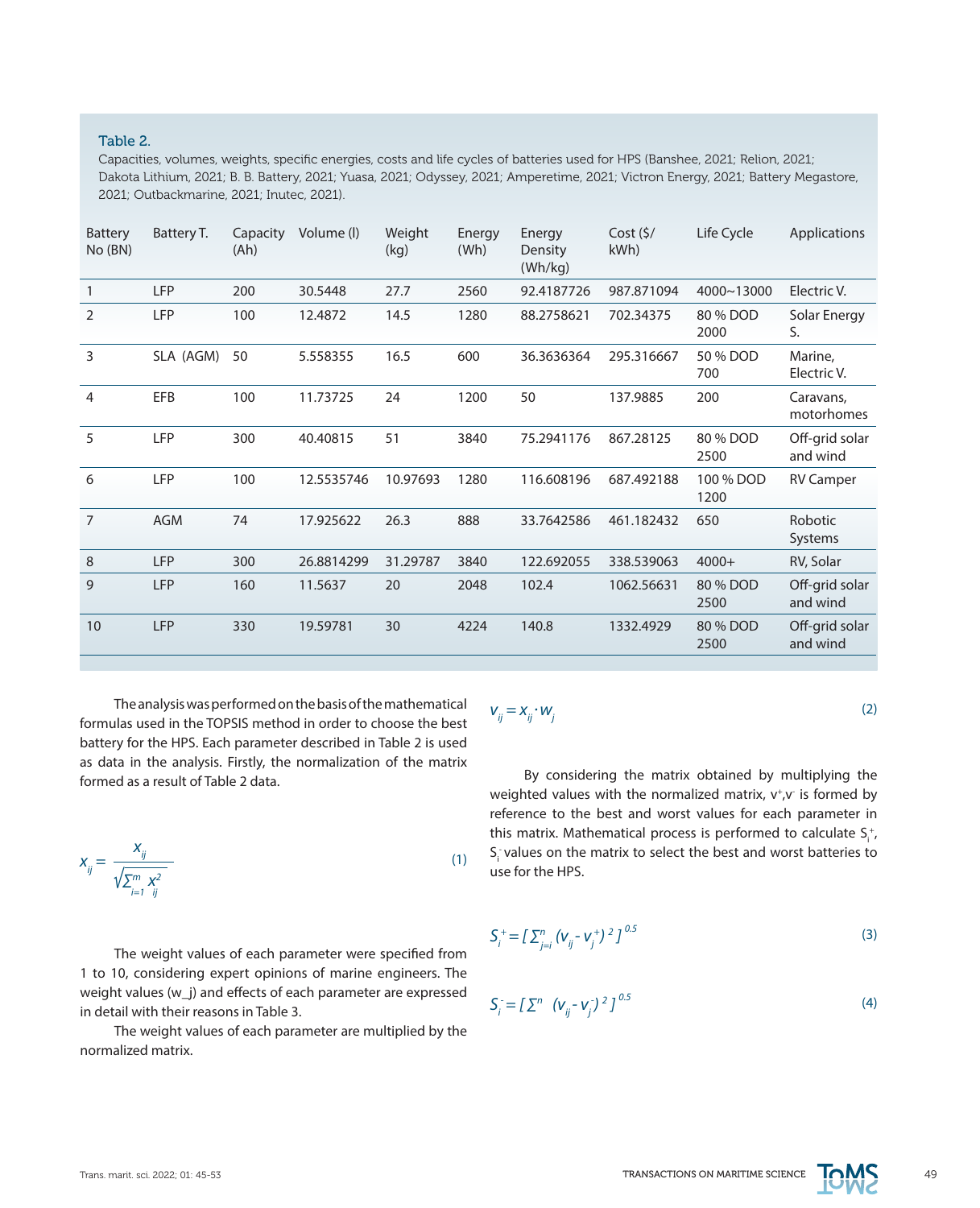#### Table 2.

Capacities, volumes, weights, specific energies, costs and life cycles of batteries used for HPS (Banshee, 2021; Relion, 2021; Dakota Lithium, 2021; B. B. Battery, 2021; Yuasa, 2021; Odyssey, 2021; Amperetime, 2021; Victron Energy, 2021; Battery Megastore, 2021; Outbackmarine, 2021; Inutec, 2021).

| <b>Battery</b><br>No(BN) | Battery T. | Capacity<br>(Ah) | Volume (I) | Weight<br>(kg) | Energy<br>(Wh) | Energy<br>Density<br>(Wh/kg) | Cost (5/<br>kWh) | Life Cycle        | Applications               |
|--------------------------|------------|------------------|------------|----------------|----------------|------------------------------|------------------|-------------------|----------------------------|
| $\mathbf{1}$             | <b>LFP</b> | 200              | 30.5448    | 27.7           | 2560           | 92.4187726                   | 987.871094       | 4000~13000        | Electric V.                |
| 2                        | <b>LFP</b> | 100              | 12.4872    | 14.5           | 1280           | 88.2758621                   | 702.34375        | 80 % DOD<br>2000  | Solar Energy<br>S.         |
| 3                        | SLA (AGM)  | 50               | 5.558355   | 16.5           | 600            | 36.3636364                   | 295.316667       | 50 % DOD<br>700   | Marine.<br>Electric V.     |
| 4                        | EFB        | 100              | 11.73725   | 24             | 1200           | 50                           | 137.9885         | 200               | Caravans,<br>motorhomes    |
| 5                        | <b>LFP</b> | 300              | 40.40815   | 51             | 3840           | 75.2941176                   | 867.28125        | 80 % DOD<br>2500  | Off-grid solar<br>and wind |
| 6                        | LFP        | 100              | 12.5535746 | 10.97693       | 1280           | 116.608196                   | 687.492188       | 100 % DOD<br>1200 | <b>RV Camper</b>           |
| $\overline{7}$           | <b>AGM</b> | 74               | 17.925622  | 26.3           | 888            | 33.7642586                   | 461.182432       | 650               | Robotic<br>Systems         |
| 8                        | <b>LFP</b> | 300              | 26.8814299 | 31.29787       | 3840           | 122.692055                   | 338.539063       | $4000+$           | RV, Solar                  |
| 9                        | <b>LFP</b> | 160              | 11.5637    | 20             | 2048           | 102.4                        | 1062.56631       | 80 % DOD<br>2500  | Off-grid solar<br>and wind |
| 10                       | <b>LFP</b> | 330              | 19.59781   | 30             | 4224           | 140.8                        | 1332.4929        | 80 % DOD<br>2500  | Off-grid solar<br>and wind |
|                          |            |                  |            |                |                |                              |                  |                   |                            |

(1)

The analysis was performed on the basis of the mathematical formulas used in the TOPSIS method in order to choose the best battery for the HPS. Each parameter described in Table 2 is used as data in the analysis. Firstly, the normalization of the matrix formed as a result of Table 2 data.

$$
X_{ij} = \frac{X_{ij}}{\sqrt{\sum_{i=1}^{m} x_i^2}}
$$

The weight values of each parameter were specified from 1 to 10, considering expert opinions of marine engineers. The weight values (w\_j) and effects of each parameter are expressed in detail with their reasons in Table 3.

The weight values of each parameter are multiplied by the normalized matrix.

$$
V_{ij} = X_{ij} \cdot W_j
$$

By considering the matrix obtained by multiplying the weighted values with the normalized matrix,  $v^+$ , $v^-$  is formed by reference to the best and worst values for each parameter in this matrix. Mathematical process is performed to calculate  $S_{i}^{+}$ ,  $S<sub>i</sub>$  values on the matrix to select the best and worst batteries to use for the HPS.

$$
S_i^+ = \left[ \sum_{j=i}^n \left( V_{ij}^- V_j^+ \right)^2 \right]^{0.5} \tag{3}
$$

$$
S_j = \left[ \sum_{j}^{n} \left( V_{ij} - V_j \right)^2 \right]^{0.5}
$$
 (4)



(2)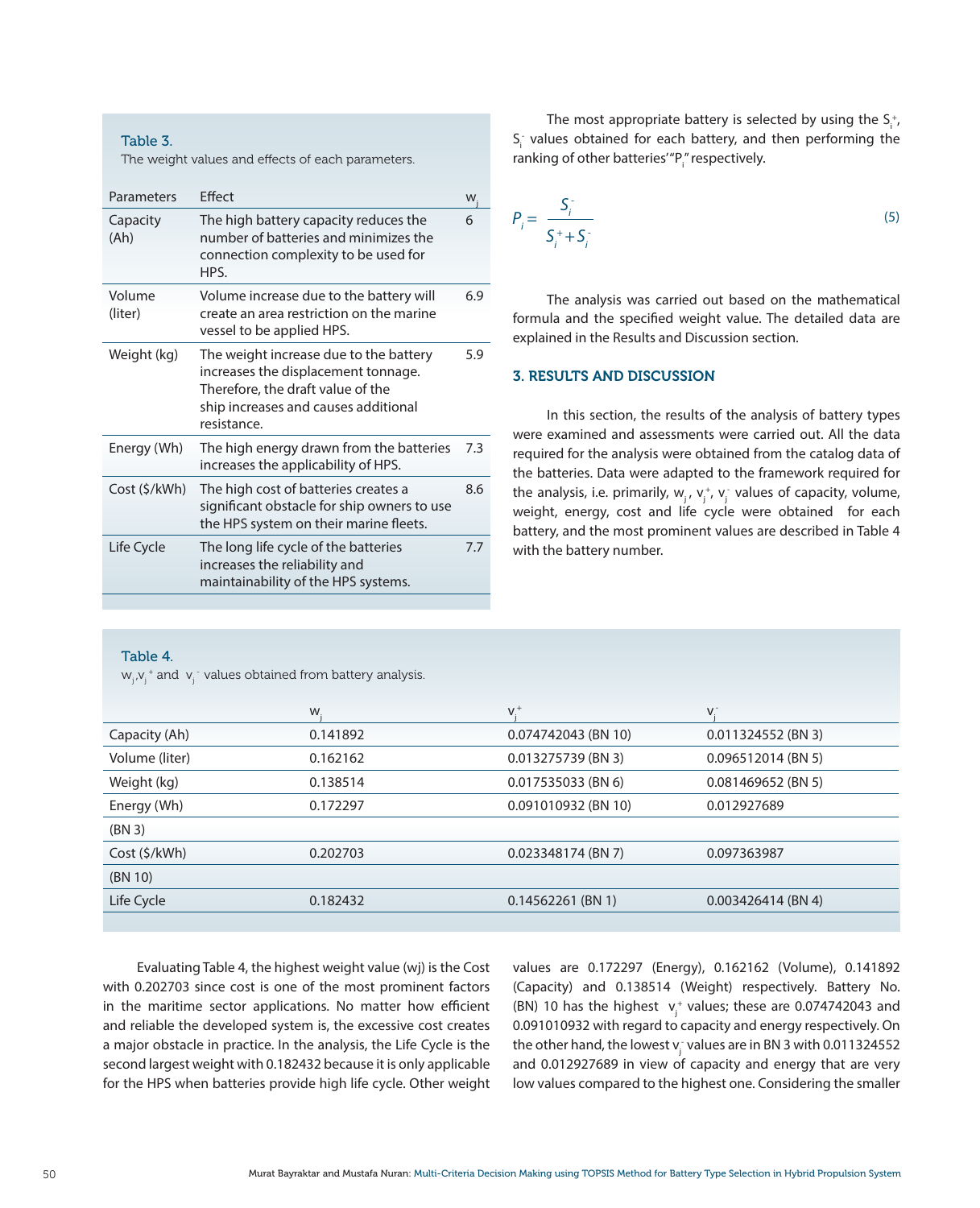#### Table 3.

The weight values and effects of each parameters.

| Parameters        | <b>Fffect</b>                                                                                                                                                             | W   |
|-------------------|---------------------------------------------------------------------------------------------------------------------------------------------------------------------------|-----|
| Capacity<br>(Ah)  | The high battery capacity reduces the<br>number of batteries and minimizes the<br>connection complexity to be used for<br>HPS.                                            | 6   |
| Volume<br>(liter) | Volume increase due to the battery will<br>create an area restriction on the marine<br>vessel to be applied HPS.                                                          | 6.9 |
| Weight (kg)       | The weight increase due to the battery<br>increases the displacement tonnage.<br>Therefore, the draft value of the<br>ship increases and causes additional<br>resistance. | 5.9 |
| Energy (Wh)       | The high energy drawn from the batteries<br>increases the applicability of HPS.                                                                                           | 7.3 |
| Cost (\$/kWh)     | The high cost of batteries creates a<br>significant obstacle for ship owners to use<br>the HPS system on their marine fleets.                                             | 8.6 |
| Life Cycle        | The long life cycle of the batteries<br>increases the reliability and<br>maintainability of the HPS systems.                                                              | 7.7 |

The most appropriate battery is selected by using the  $S_i^*$ ,  $S_{i}$  values obtained for each battery, and then performing the ranking of other batteries'"P<sub>i</sub>" respectively.

$$
P_i = \frac{S_i^+}{S_i^+ + S_i^-}
$$
\n<sup>(5)</sup>

The analysis was carried out based on the mathematical formula and the specified weight value. The detailed data are explained in the Results and Discussion section.

#### 3. RESULTS AND DISCUSSION

In this section, the results of the analysis of battery types were examined and assessments were carried out. All the data required for the analysis were obtained from the catalog data of the batteries. Data were adapted to the framework required for the analysis, i.e. primarily,  $w_j$ ,  $v_j^*$ ,  $v_j^-$  values of capacity, volume, weight, energy, cost and life cycle were obtained for each battery, and the most prominent values are described in Table 4 with the battery number.

#### Table 4.

 $\mathsf{w}_{\mathsf{j}}$ , $\mathsf{v}_{\mathsf{j}}^+$  and  $\mathsf{v}_{\mathsf{j}}^-$  values obtained from battery analysis.

|                | W        | $V^+$               |                      |
|----------------|----------|---------------------|----------------------|
| Capacity (Ah)  | 0.141892 | 0.074742043 (BN 10) | 0.011324552 (BN 3)   |
| Volume (liter) | 0.162162 | 0.013275739 (BN 3)  | 0.096512014 (BN 5)   |
| Weight (kg)    | 0.138514 | 0.017535033 (BN 6)  | $0.081469652$ (BN 5) |
| Energy (Wh)    | 0.172297 | 0.091010932 (BN 10) | 0.012927689          |
| (BN 3)         |          |                     |                      |
| Cost(S/kWh)    | 0.202703 | 0.023348174 (BN 7)  | 0.097363987          |
| (BN 10)        |          |                     |                      |
| Life Cycle     | 0.182432 | $0.14562261$ (BN 1) | $0.003426414$ (BN 4) |
|                |          |                     |                      |

Evaluating Table 4, the highest weight value (wj) is the Cost with 0.202703 since cost is one of the most prominent factors in the maritime sector applications. No matter how efficient and reliable the developed system is, the excessive cost creates a major obstacle in practice. In the analysis, the Life Cycle is the second largest weight with 0.182432 because it is only applicable for the HPS when batteries provide high life cycle. Other weight

values are 0.172297 (Energy), 0.162162 (Volume), 0.141892 (Capacity) and 0.138514 (Weight) respectively. Battery No. (BN) 10 has the highest  $v_j^+$  values; these are 0.074742043 and 0.091010932 with regard to capacity and energy respectively. On the other hand, the lowest  $\mathsf{v}_\mathrm{j}^{\scriptscriptstyle +}$  values are in BN 3 with 0.011324552 and 0.012927689 in view of capacity and energy that are very low values compared to the highest one. Considering the smaller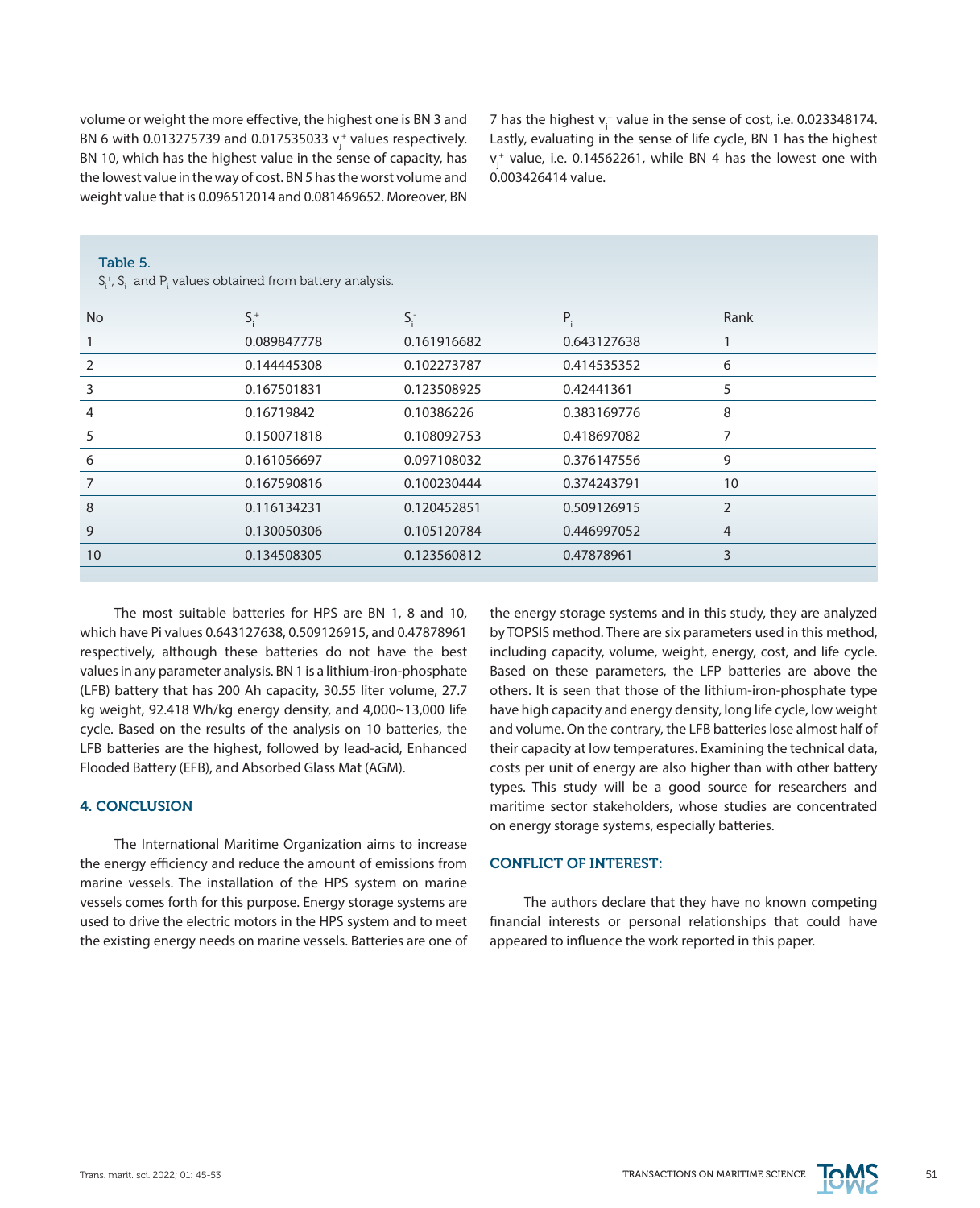volume or weight the more effective, the highest one is BN 3 and BN 6 with 0.013275739 and 0.017535033  $v_j^*$  values respectively. BN 10, which has the highest value in the sense of capacity, has the lowest value in the way of cost. BN 5 has the worst volume and weight value that is 0.096512014 and 0.081469652. Moreover, BN

7 has the highest  $v_j^+$  value in the sense of cost, i.e. 0.023348174. Lastly, evaluating in the sense of life cycle, BN 1 has the highest  $v_j^+$  value, i.e. 0.14562261, while BN 4 has the lowest one with 0.003426414 value.

| <b>No</b> | $S_{1}^{+}$ | $S_i^-$     | P.          | Rank           |
|-----------|-------------|-------------|-------------|----------------|
|           | 0.089847778 | 0.161916682 | 0.643127638 |                |
| 2         | 0.144445308 | 0.102273787 | 0.414535352 | 6              |
| 3         | 0.167501831 | 0.123508925 | 0.42441361  | 5              |
| 4         | 0.16719842  | 0.10386226  | 0.383169776 | 8              |
| 5         | 0.150071818 | 0.108092753 | 0.418697082 | 7              |
| 6         | 0.161056697 | 0.097108032 | 0.376147556 | 9              |
|           | 0.167590816 | 0.100230444 | 0.374243791 | 10             |
| 8         | 0.116134231 | 0.120452851 | 0.509126915 | $\overline{2}$ |
| 9         | 0.130050306 | 0.105120784 | 0.446997052 | $\overline{4}$ |
| 10        | 0.134508305 | 0.123560812 | 0.47878961  | 3              |
|           |             |             |             |                |

#### Table 5.

 $\mathsf{S}_\mathsf{i}^*$ ,  $\mathsf{S}_\mathsf{i}^-$  and  $\mathsf{P}_\mathsf{i}$  values obtained from battery analysis.

The most suitable batteries for HPS are BN 1, 8 and 10, which have Pi values 0.643127638, 0.509126915, and 0.47878961 respectively, although these batteries do not have the best values in any parameter analysis. BN 1 is a lithium-iron-phosphate (LFB) battery that has 200 Ah capacity, 30.55 liter volume, 27.7 kg weight, 92.418 Wh/kg energy density, and 4,000~13,000 life cycle. Based on the results of the analysis on 10 batteries, the LFB batteries are the highest, followed by lead-acid, Enhanced Flooded Battery (EFB), and Absorbed Glass Mat (AGM).

## 4. CONCLUSION

The International Maritime Organization aims to increase the energy efficiency and reduce the amount of emissions from marine vessels. The installation of the HPS system on marine vessels comes forth for this purpose. Energy storage systems are used to drive the electric motors in the HPS system and to meet the existing energy needs on marine vessels. Batteries are one of the energy storage systems and in this study, they are analyzed by TOPSIS method. There are six parameters used in this method, including capacity, volume, weight, energy, cost, and life cycle. Based on these parameters, the LFP batteries are above the others. It is seen that those of the lithium-iron-phosphate type have high capacity and energy density, long life cycle, low weight and volume. On the contrary, the LFB batteries lose almost half of their capacity at low temperatures. Examining the technical data, costs per unit of energy are also higher than with other battery types. This study will be a good source for researchers and maritime sector stakeholders, whose studies are concentrated on energy storage systems, especially batteries.

## CONFLICT OF INTEREST:

The authors declare that they have no known competing financial interests or personal relationships that could have appeared to influence the work reported in this paper.

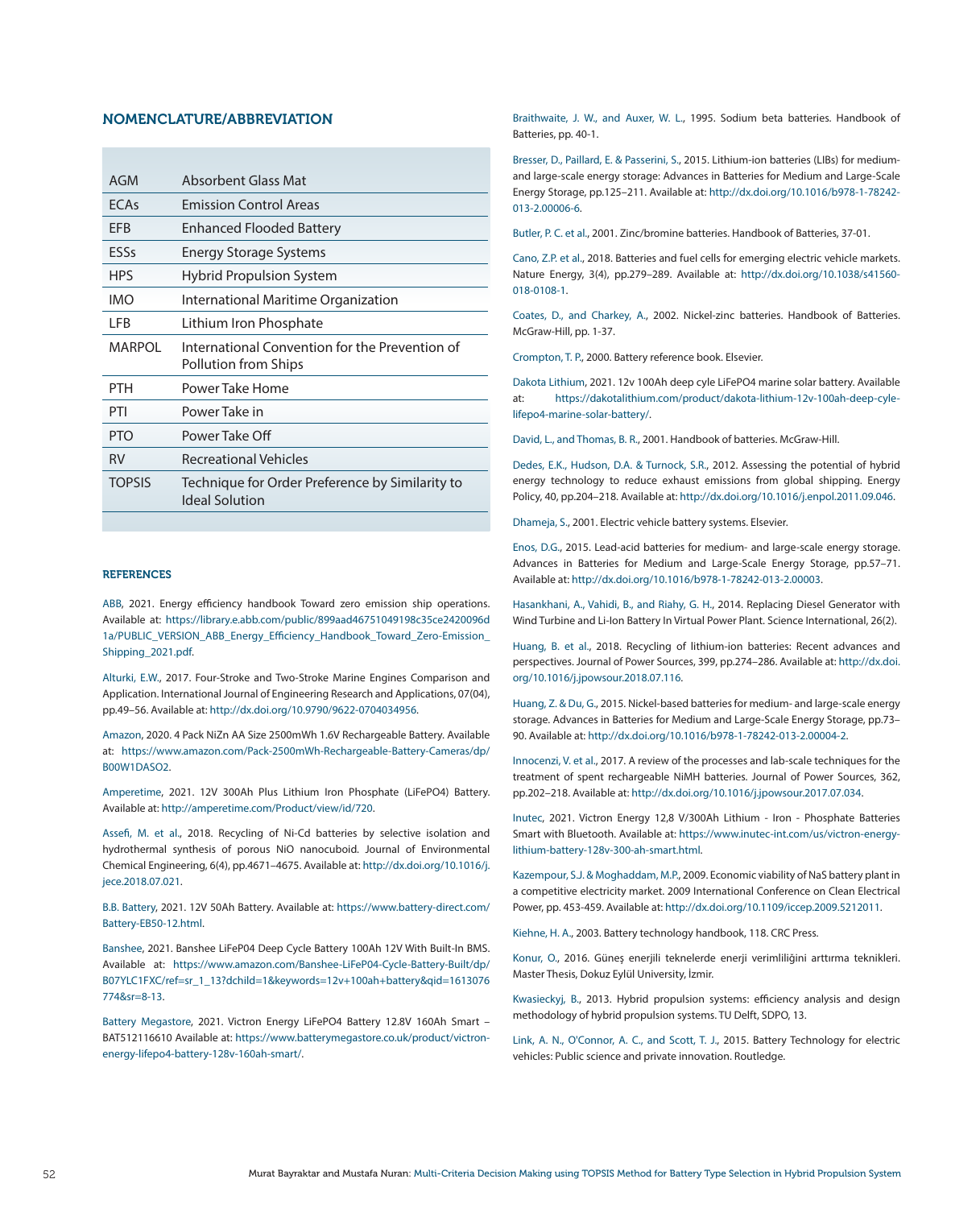#### NOMENCLATURE/ABBREVIATION

| AGM         | Absorbent Glass Mat                                                    |
|-------------|------------------------------------------------------------------------|
| <b>FCAs</b> | <b>Emission Control Areas</b>                                          |
| EFB         | <b>Enhanced Flooded Battery</b>                                        |
| ESSs        | <b>Energy Storage Systems</b>                                          |
| <b>HPS</b>  | <b>Hybrid Propulsion System</b>                                        |
| IMO         | International Maritime Organization                                    |
| LFB         | Lithium Iron Phosphate                                                 |
| MARPOL      | International Convention for the Prevention of<br>Pollution from Ships |
| PTH         | Power Take Home                                                        |
| PTI         | Power Take in                                                          |
| <b>PTO</b>  | Power Take Off                                                         |
|             |                                                                        |
| <b>RV</b>   | <b>Recreational Vehicles</b>                                           |

#### **REFERENCES**

ABB, 2021. Energy efficiency handbook Toward zero emission ship operations. Available at: [https://library.e.abb.com/public/899aad46751049198c35ce2420096d](https://library.e.abb.com/public/899aad46751049198c35ce2420096d1a/PUBLIC_VERSION_ABB_Energy_Efficien) 1a/PUBLIC\_VERSION\_ABB\_Energy\_Efficiency\_Handbook\_Toward\_Zero-Emission [Shipping\\_2021.pdf](https://library.e.abb.com/public/899aad46751049198c35ce2420096d1a/PUBLIC_VERSION_ABB_Energy_Efficien).

Alturki, E.W., 2017. Four-Stroke and Two-Stroke Marine Engines Comparison and Application. International Journal of Engineering Research and Applications, 07(04), pp.49–56. Available at: <http://dx.doi.org/10.9790/9622-0704034956>.

Amazon, 2020. 4 Pack NiZn AA Size 2500mWh 1.6V Rechargeable Battery. Available at: [https://www.amazon.com/Pack-2500mWh-Rechargeable-Battery-Cameras/dp/](https://www.amazon.com/Pack-2500mWh-Rechargeable-Battery-Cameras/dp/B00W1DASO2) [B00W1DASO2.](https://www.amazon.com/Pack-2500mWh-Rechargeable-Battery-Cameras/dp/B00W1DASO2)

Amperetime, 2021. 12V 300Ah Plus Lithium Iron Phosphate (LiFePO4) Battery. Available at: [http://amperetime.com/Product/view/id/720.](http://amperetime.com/Product/view/id/720)

Assefi, M. et al., 2018. Recycling of Ni-Cd batteries by selective isolation and hydrothermal synthesis of porous NiO nanocuboid. Journal of Environmental Chemical Engineering, 6(4), pp.4671–4675. Available at: [http://dx.doi.org/10.1016/j.](http://dx.doi.org/10.1016/j.jece.2018.07.021) [jece.2018.07.021](http://dx.doi.org/10.1016/j.jece.2018.07.021).

B.B. Battery, 2021. 12V 50Ah Battery. Available at: [https://www.battery-direct.com/](https://www.battery-direct.com/Battery-EB50-12.html) [Battery-EB50-12.html.](https://www.battery-direct.com/Battery-EB50-12.html)

Banshee, 2021. Banshee LiFeP04 Deep Cycle Battery 100Ah 12V With Built-In BMS. Available at: [https://www.amazon.com/Banshee-LiFeP04-Cycle-Battery-Built/dp/](https://www.amazon.com/Banshee-LiFeP04-Cycle-Battery-Built/dp/B07YLC1FXC/ref=sr_1_13?dchild=1&keywor) [B07YLC1FXC/ref=sr\\_1\\_13?dchild=1&keywords=12v+100ah+battery&qid=1613076](https://www.amazon.com/Banshee-LiFeP04-Cycle-Battery-Built/dp/B07YLC1FXC/ref=sr_1_13?dchild=1&keywor) [774&sr=8-13.](https://www.amazon.com/Banshee-LiFeP04-Cycle-Battery-Built/dp/B07YLC1FXC/ref=sr_1_13?dchild=1&keywor)

Battery Megastore, 2021. Victron Energy LiFePO4 Battery 12.8V 160Ah Smart – BAT512116610 Available at: [https://www.batterymegastore.co.uk/product/victron](https://www.batterymegastore.co.uk/product/victron-energy-lifepo4-battery-128v-160ah-smart/)[energy-lifepo4-battery-128v-160ah-smart/](https://www.batterymegastore.co.uk/product/victron-energy-lifepo4-battery-128v-160ah-smart/).

Braithwaite, J. W., and Auxer, W. L., 1995. Sodium beta batteries. Handbook of Batteries, pp. 40-1.

Bresser, D., Paillard, E. & Passerini, S., 2015. Lithium-ion batteries (LIBs) for mediumand large-scale energy storage: Advances in Batteries for Medium and Large-Scale Energy Storage, pp.125–211. Available at: [http://dx.doi.org/10.1016/b978-1-78242-](http://dx.doi.org/10.1016/b978-1-78242-013-2.00006-6) [013-2.00006-6.](http://dx.doi.org/10.1016/b978-1-78242-013-2.00006-6)

Butler, P. C. et al., 2001. Zinc/bromine batteries. Handbook of Batteries, 37-01.

Cano, Z.P. et al., 2018. Batteries and fuel cells for emerging electric vehicle markets. Nature Energy, 3(4), pp.279–289. Available at: [http://dx.doi.org/10.1038/s41560-](http://dx.doi.org/10.1038/s41560-018-0108-1) [018-0108-1.](http://dx.doi.org/10.1038/s41560-018-0108-1)

Coates, D., and Charkey, A., 2002. Nickel-zinc batteries. Handbook of Batteries. McGraw-Hill, pp. 1-37.

Crompton, T. P., 2000. Battery reference book. Elsevier.

Dakota Lithium, 2021. 12v 100Ah deep cyle LiFePO4 marine solar battery. Available at: [https://dakotalithium.com/product/dakota-lithium-12v-100ah-deep-cyle](https://dakotalithium.com/product/dakota-lithium-12v-100ah-deep-cyle-lifepo4-marine-solar-battery/)[lifepo4-marine-solar-battery/.](https://dakotalithium.com/product/dakota-lithium-12v-100ah-deep-cyle-lifepo4-marine-solar-battery/)

David, L., and Thomas, B. R., 2001. Handbook of batteries. McGraw-Hill.

Dedes, E.K., Hudson, D.A. & Turnock, S.R., 2012. Assessing the potential of hybrid energy technology to reduce exhaust emissions from global shipping. Energy Policy, 40, pp.204–218. Available at: <http://dx.doi.org/10.1016/j.enpol.2011.09.046>.

Dhameja, S., 2001. Electric vehicle battery systems. Elsevier.

Enos, D.G., 2015. Lead-acid batteries for medium- and large-scale energy storage. Advances in Batteries for Medium and Large-Scale Energy Storage, pp.57–71. Available at: <http://dx.doi.org/10.1016/b978-1-78242-013-2.00003>.

Hasankhani, A., Vahidi, B., and Riahy, G. H., 2014. Replacing Diesel Generator with Wind Turbine and Li-Ion Battery In Virtual Power Plant. Science International, 26(2).

Huang, B. et al., 2018. Recycling of lithium-ion batteries: Recent advances and perspectives. Journal of Power Sources, 399, pp.274–286. Available at: [http://dx.doi.](http://dx.doi.org/10.1016/j.jpowsour.2018.07.116) [org/10.1016/j.jpowsour.2018.07.116](http://dx.doi.org/10.1016/j.jpowsour.2018.07.116).

Huang, Z. & Du, G., 2015. Nickel-based batteries for medium- and large-scale energy storage. Advances in Batteries for Medium and Large-Scale Energy Storage, pp.73– 90. Available at: <http://dx.doi.org/10.1016/b978-1-78242-013-2.00004-2>.

Innocenzi, V. et al., 2017. A review of the processes and lab-scale techniques for the treatment of spent rechargeable NiMH batteries. Journal of Power Sources, 362, pp.202–218. Available at: [http://dx.doi.org/10.1016/j.jpowsour.2017.07.034.](http://dx.doi.org/10.1016/j.jpowsour.2017.07.034)

Inutec, 2021. Victron Energy 12,8 V/300Ah Lithium - Iron - Phosphate Batteries Smart with Bluetooth. Available at: [https://www.inutec-int.com/us/victron-energy](https://www.inutec-int.com/us/victron-energy-lithium-battery-128v-300-ah-smart.html)[lithium-battery-128v-300-ah-smart.html.](https://www.inutec-int.com/us/victron-energy-lithium-battery-128v-300-ah-smart.html)

Kazempour, S.J. & Moghaddam, M.P., 2009. Economic viability of NaS battery plant in a competitive electricity market. 2009 International Conference on Clean Electrical Power, pp. 453-459. Available at: <http://dx.doi.org/10.1109/iccep.2009.5212011>.

Kiehne, H. A., 2003. Battery technology handbook, 118. CRC Press.

Konur, O., 2016. Güneş enerjili teknelerde enerji verimliliğini arttırma teknikleri. Master Thesis, Dokuz Eylül University, İzmir.

Kwasieckyj, B., 2013. Hybrid propulsion systems: efficiency analysis and design methodology of hybrid propulsion systems. TU Delft, SDPO, 13.

Link, A. N., O'Connor, A. C., and Scott, T. J., 2015. Battery Technology for electric vehicles: Public science and private innovation. Routledge.